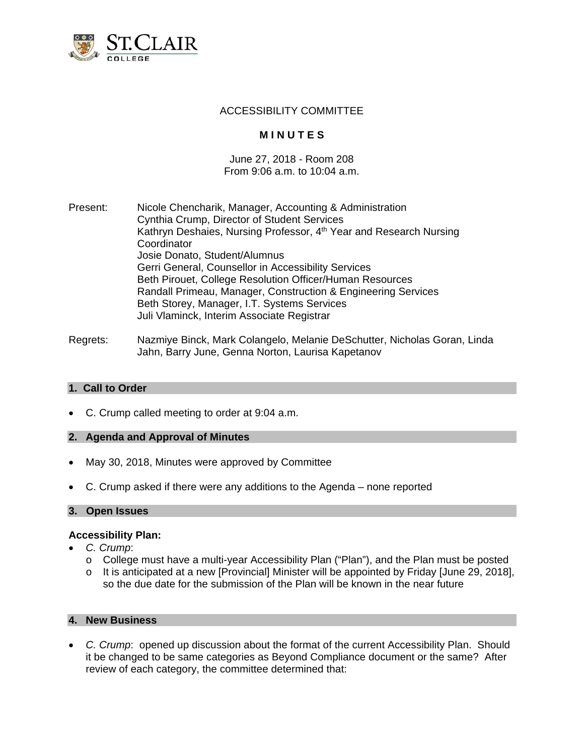

## ACCESSIBILITY COMMITTEE

# **M I N U T E S**

#### June 27, 2018 - Room 208 From 9:06 a.m. to 10:04 a.m.

- Present: Nicole Chencharik, Manager, Accounting & Administration Cynthia Crump, Director of Student Services Kathryn Deshaies, Nursing Professor, 4<sup>th</sup> Year and Research Nursing **Coordinator** Josie Donato, Student/Alumnus Gerri General, Counsellor in Accessibility Services Beth Pirouet, College Resolution Officer/Human Resources Randall Primeau, Manager, Construction & Engineering Services Beth Storey, Manager, I.T. Systems Services Juli Vlaminck, Interim Associate Registrar
- Regrets: Nazmiye Binck, Mark Colangelo, Melanie DeSchutter, Nicholas Goran, Linda Jahn, Barry June, Genna Norton, Laurisa Kapetanov

#### **1. Call to Order**

C. Crump called meeting to order at 9:04 a.m.

#### **2. Agenda and Approval of Minutes**

- May 30, 2018, Minutes were approved by Committee
- C. Crump asked if there were any additions to the Agenda none reported

#### **3. Open Issues**

#### **Accessibility Plan:**

- *C. Crump*:
	- o College must have a multi-year Accessibility Plan ("Plan"), and the Plan must be posted
	- $\circ$  It is anticipated at a new [Provincial] Minister will be appointed by Friday [June 29, 2018], so the due date for the submission of the Plan will be known in the near future

## **4. New Business**

 *C. Crump*: opened up discussion about the format of the current Accessibility Plan. Should it be changed to be same categories as Beyond Compliance document or the same? After review of each category, the committee determined that: